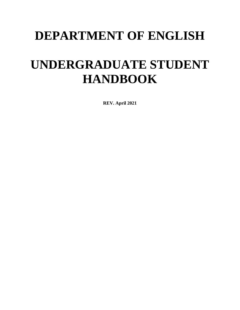# **DEPARTMENT OF ENGLISH**

# **UNDERGRADUATE STUDENT HANDBOOK**

**REV. April 2021**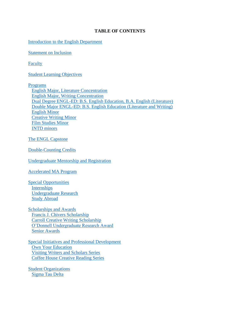#### **TABLE OF CONTENTS**

[Introduction to the English Department](#page-2-0)

[Statement on Inclusion](#page-4-0)

**[Faculty](#page-4-1)** 

[Student Learning Objectives](#page-6-0)

[Programs](#page-6-0)

[English Major, Literature Concentration](#page-6-1) [English Major, Writing Concentration](#page-6-2) [Dual Degree ENGL-ED: B.S. English Education, B.A. English \(Literature\)](#page-7-0) [Double Major ENGL-ED: B.S. English Education \(Literature and Writing\)](#page-7-1) [English Minor](#page-8-0) [Creative Writing Minor](#page-8-1) [Film Studies Minor](#page-8-2) [INTD minors](#page-9-0)

[The ENGL Capstone](#page-9-1)

[Double-Counting Credits](#page-9-2)

[Undergraduate Mentorship and Registration](#page-9-3)

[Accelerated MA Program](#page-10-0)

[Special Opportunities](#page-10-1) [Internships](#page-10-2) [Undergraduate Research](#page-11-0) [Study Abroad](#page-11-1)

[Scholarships and Awards](#page-12-0) [Francis J. Chivers Scholarship](#page-12-1) [Carroll Creative Writing Scholarship](#page-12-2) [O'Donnell Undergraduate Research Award](#page-12-3) [Senior Awards](#page-12-4)

Special Initiatives [and Professional Development](#page-13-0) [Own Your Education](#page-13-1) [Visiting Writers and Scholars Series](#page-13-2) [Coffee House Creative Reading Series](#page-13-3)

[Student Organizations](#page-13-4) [Sigma Tau Delta](#page-13-5)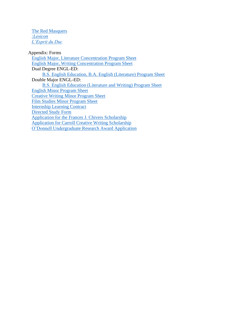[The Red Masquers](#page-13-6) *[:Lexicon](#page-14-0) [L'Esprit du Duc](#page-14-1)*

<span id="page-2-0"></span>Appendix: Forms [English Major, Literature Concentration Program Sheet](#page-15-0) [English Major, Writing Concentration Program Sheet](#page-17-0) Dual Degree ENGL-ED: [B.S. English Education, B.A. English \(Literature\) Program Sheet](#page-19-0) Double Major ENGL-ED: [B.S. English Education \(Literature and Writing\) Program Sheet](#page-22-0) [English Minor Program Sheet](#page-25-0) [Creative Writing Minor Program Sheet](#page-26-0) [Film Studies Minor Program Sheet](#page-27-0) [Internship Learning Contract](#page-28-0) [Directed Study Form](#page-33-0) [Application for the Frances J. Chivers Scholarship](#page-35-0) [Application for Carroll Creative Writing Scholarship](#page-36-0) [O'Donnell Undergraduate Research Award Application](#page-12-3)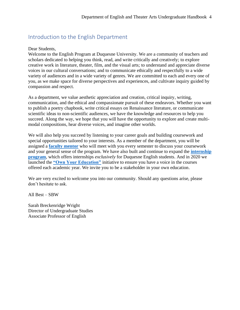# Introduction to the English Department

#### Dear Students,

Welcome to the English Program at Duquesne University. We are a community of teachers and scholars dedicated to helping you think, read, and write critically and creatively; to explore creative work in literature, theater, film, and the visual arts; to understand and appreciate diverse voices in our cultural conversations; and to communicate ethically and respectfully to a wide variety of audiences and in a wide variety of genres. We are committed to each and every one of you, as we make space for diverse perspectives and experiences, and cultivate inquiry guided by compassion and respect.

As a department, we value aesthetic appreciation and creation, critical inquiry, writing, communication, and the ethical and compassionate pursuit of these endeavors. Whether you want to publish a poetry chapbook, write critical essays on Renaissance literature, or communicate scientific ideas to non-scientific audiences, we have the knowledge and resources to help you succeed. Along the way, we hope that you will have the opportunity to explore and create multimodal compositions, hear diverse voices, and imagine other worlds.

We will also help you succeed by listening to your career goals and building coursework and special opportunities tailored to your interests. As a member of the department, you will be assigned a **[faculty mentor](#page-9-3)** who will meet with you every semester to discuss your coursework and your general sense of the program. We have also built and continue to expand the **[internship](#page-10-2)  [program](#page-10-2)**, which offers internships *exclusively* for Duquesne English students. And in 2020 we launched the **["Own Your Education"](#page-13-1)** initiative to ensure you have a voice in the courses offered each academic year. We invite you to be a stakeholder in your own education.

We are very excited to welcome you into our community. Should any questions arise, please don't hesitate to ask.

All Best – SBW

Sarah Breckenridge Wright Director of Undergraduate Studies Associate Professor of English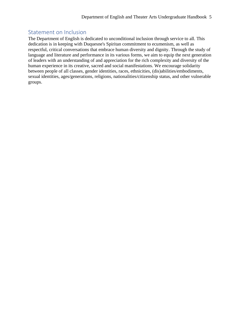## <span id="page-4-0"></span>Statement on Inclusion

<span id="page-4-1"></span>The Department of English is dedicated to unconditional inclusion through service to all. This dedication is in keeping with Duquesne's Spiritan commitment to ecumenism, as well as respectful, critical conversations that embrace human diversity and dignity. Through the study of language and literature and performance in its various forms, we aim to equip the next generation of leaders with an understanding of and appreciation for the rich complexity and diversity of the human experience in its creative, sacred and social manifestations. We encourage solidarity between people of all classes, gender identities, races, ethnicities, (dis)abilities/embodiments, sexual identities, ages/generations, religions, nationalities/citizenship status, and other vulnerable groups.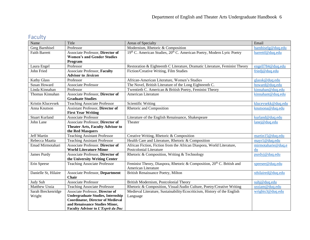# Faculty

| Name                  | Title                                    | Areas of Specialty                                                                 | Email              |
|-----------------------|------------------------------------------|------------------------------------------------------------------------------------|--------------------|
| Greg Barnhisel        | Professor                                | Modernism, Rhetoric & Composition                                                  | barnhiselg@duq.edu |
| <b>Faith Barrett</b>  | Associate Professor, Director of         | 19th C. American Studies, 20th C. American Poetry, Modern Lyric Poetry             | barrettf@duq.edu   |
|                       | <b>Women's and Gender Studies</b>        |                                                                                    |                    |
|                       | Program                                  |                                                                                    |                    |
| Laura Engel           | Professor                                | Restoration & Eighteenth C Literature, Dramatic Literature, Feminist Theory        | engell784@duq.edu  |
| John Fried            | <b>Associate Professor, Faculty</b>      | Fiction/Creative Writing, Film Studies                                             | friedj@duq.edu     |
|                       | Advisor to :lexicon                      |                                                                                    |                    |
| <b>Kathy Glass</b>    | Professor                                | African-American Literature, Women's Studies                                       | glassk@duq.edu     |
| <b>Susan Howard</b>   | <b>Associate Professor</b>               | The Novel, British Literature of the Long Eighteenth C.                            | howard@duq.edu     |
| Linda Kinnahan        | Professor                                | Twentieth C. American & British Poetry, Feminist Theory                            | kinnahan@duq.edu   |
| Thomas Kinnahan       | <b>Associate Professor</b> , Director of | American Literature                                                                | kinnahant@duq.edu  |
|                       | <b>Graduate Studies</b>                  |                                                                                    |                    |
| Kristin Klucevsek     | <b>Teaching Associate Professor</b>      | <b>Scientific Writing</b>                                                          | klucevsekk@duq.edu |
| Anna Knutson          | Assistant Professor, Director of         | Rhetoric and Composition                                                           | knutsona@duq.edu   |
|                       | <b>First Year Writing</b>                |                                                                                    |                    |
| <b>Stuart Kurland</b> | <b>Associate Professor</b>               | Literature of the English Renaissance, Shakespeare                                 | kurland@duq.edu    |
| John Lane             | Associate Professor, Director of         | Theater                                                                            | lanej@duq.edu      |
|                       | Theater Arts, Faculty Advisor to         |                                                                                    |                    |
|                       | the Red Masquers                         |                                                                                    |                    |
| <b>Jeff Martin</b>    | <b>Teaching Assistant Professor</b>      | Creative Writing, Rhetoric & Composition                                           | martin15@duq.edu   |
| Rebecca Maatta        | <b>Teaching Assistant Professor</b>      | Health Care and Literature, Rhetoric & Composition                                 | mayr1@duq.edu      |
| Emad Mirmotahari      | Associate Professor. Director of         | African Fiction, Fiction from the African Diaspora, World Literature,              | mirmotaharie@duq.e |
|                       | <b>World Literature Minor</b>            | <b>Postcolonial Literature</b>                                                     | du                 |
| James Purdy           | Associate Professor, Director of         | Rhetoric & Composition, Writing & Technology                                       | purdyj@duq.edu     |
|                       | the University Writing Center            |                                                                                    |                    |
| Erin Speese           | <b>Teaching Associate Professor</b>      | Feminist Theory, Diaspora, Rhetoric & Composition, 20 <sup>th</sup> C. British and | speesee@duq.edu    |
|                       |                                          | American Literature                                                                |                    |
| Danielle St, Hilaire  | Associate Professor, Department          | British Renaissance Poetry, Milton                                                 | sthilaired@duq.edu |
|                       | Chair                                    |                                                                                    |                    |
| Judy Suh              | <b>Associate Professor</b>               | British Modernism, Postcolonial Theory                                             | suhj@duq.edu       |
| Matthew Ussia         | <b>Teaching Associate Professor</b>      | Rhetoric & Composition, Visual/Audio Culture, Poetry/Creative Writing              | ussiam@duq.edu     |
| Sarah Breckenridge    | Associate Professor, Director of         | Medieval Literature, Sustainability/Ecocriticism, History of the English           | wrights3@duq.edu   |
| Wright                | <b>Undergraduate Studies, Internship</b> | Language                                                                           |                    |
|                       | <b>Coordinator, Director of Medieval</b> |                                                                                    |                    |
|                       | and Renaissance Studies Minor,           |                                                                                    |                    |
|                       | Faculty Advisor to L'Esprit du Duc       |                                                                                    |                    |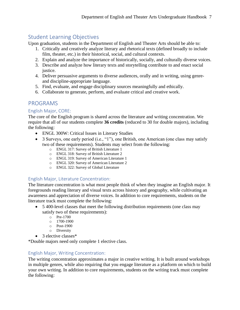# <span id="page-6-0"></span>Student Learning Objectives

Upon graduation, students in the Department of English and Theater Arts should be able to:

- 1. Critically and creatively analyze literary and rhetorical texts (defined broadly to include film, theater, etc.) in their historical, social, and cultural contexts.
- 2. Explain and analyze the importance of historically, socially, and culturally diverse voices.
- 3. Describe and analyze how literary texts and storytelling contribute to and enact social justice.
- 4. Deliver persuasive arguments to diverse audiences, orally and in writing, using genreand discipline-appropriate language.
- 5. Find, evaluate, and engage disciplinary sources meaningfully and ethically.
- 6. Collaborate to generate, perform, and evaluate critical and creative work.

## PROGRAMS

#### English Major, CORE:

The core of the English program is shared across the literature and writing concentration. We require that all of our students complete **36 credits** (reduced to 30 for double majors), including the following:

- ENGL 300W: Critical Issues in Literary Studies
- 3 Surveys, one early period (i.e., "1"), one British, one American (one class may satisfy two of these requirements). Students may select from the following:
	- o ENGL 317: Survey of British Literature 1
	- o ENGL 318: Survey of British Literature 2
	- o ENGL 319: Survey of American Literature 1
	- o ENGL 320: Survey of American Literature 2
	- o ENGL 322: Survey of Global Literature

#### <span id="page-6-1"></span>English Major, Literature Concentration:

The literature concentration is what most people think of when they imagine an English major. It foregrounds reading literary and visual texts across history and geography, while cultivating an awareness and appreciation of diverse voices. In addition to core requirements, students on the literature track must complete the following:

- 5 400-level classes that meet the following distribution requirements (one class may satisfy two of these requirements):
	- o Pre-1700
	- o 1700-1900
	- o Post-1900
	- o Diversity
- 3 elective classes\*

\*Double majors need only complete 1 elective class.

#### <span id="page-6-2"></span>English Major, Writing Concentration:

The writing concentration approximates a major in creative writing. It is built around workshops in multiple genres, while also requiring that you engage literature as a platform on which to build your own writing. In addition to core requirements, students on the writing track must complete the following: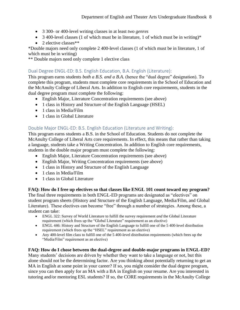- 3 300- or 400-level writing classes in at least *two genres*
- 3 400-level classes (1 of which must be in literature, 1 of which must be in writing)\*
- 2 elective classes $**$

\*Double majors need only complete 2 400-level classes (1 of which must be in literature, 1 of which must be in writing)

\*\* Double majors need only complete 1 elective class

#### <span id="page-7-0"></span>Dual Degree ENGL-ED: B.S. English Education, B.A. English (Literature):

This program earns students *both a B.S. and a B.A.* (hence the "dual degree" designation). To complete this program, students must complete core requirements in the School of Education and the McAnulty College of Liberal Arts. In addition to English core requirements, students in the dual degree program must complete the following:

- English Major, Literature Concentration requirements (see above)
- 1 class in History and Structure of the English Language (HSEL)
- 1 class in Media/Film
- 1 class in Global Literature

#### <span id="page-7-1"></span>Double Major ENGL-ED: B.S. English Education (Literature and Writing):

This program earns students a B.S*.* in the School of Education. Students do not complete the McAnulty College of Liberal Arts core requirements. In effect, this means that rather than taking a language, students take a Writing Concentration. In addition to English core requirements, students in the double major program must complete the following:

- English Major, Literature Concentration requirements (see above)
- English Major, Writing Concentration requirements (see above)
- 1 class in History and Structure of the English Language
- 1 class in Media/Film
- 1 class in Global Literature

#### **FAQ: How do I free up electives so that classes like ENGL 101 count toward my program?**

The final three requirements in both ENGL-ED programs are designated as "electives" on student program sheets (History and Structure of the English Language, Media/Film, and Global Literature). These electives can become "free" through a number of strategies. Among these, a student can take:

- ENGL 322: Survey of World Literature to fulfill the survey requirement *and* the Global Literature requirement (which frees up the "Global Literature" requirement as an elective)
- ENGL 446: History and Structure of the English Language to fulfill one of the 5 400-level distribution requirement (which frees up the "HSEL" requirement as an elective)
- Any 400-level film class to fulfill one of the 5 400-level distribution requirements (which frees up the "Media/Film" requirement as an elective)

#### **FAQ: How do I chose between the dual-degree and double-major programs in ENGL-ED?**

Many students' decisions are driven by whether they want to take a language or not, but this alone should not be the determining factor. Are you thinking about potentially returning to get an MA in English at some point in your career? If so, you might consider the dual degree program, since you can then apply for an MA with a BA in English on your resume. Are you interested in tutoring and/or mentoring ESL students? If so, the CORE requirements in the McAnulty College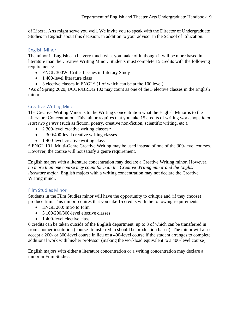of Liberal Arts might serve you well. We invite you to speak with the Director of Undergraduate Studies in English about this decision, in addition to your advisor in the School of Education.

#### <span id="page-8-0"></span>English Minor

The minor in English can be very much what you make of it, though it will be more based in literature than the Creative Writing Minor. Students must complete 15 credits with the following requirements:

- ENGL 300W: Critical Issues in Literary Study
- 1 400-level literature class
- 3 elective classes in ENGL\* (1 of which can be at the 100 level)

\*As of Spring 2020, UCOR/BRDG 102 may count as one of the 3 elective classes in the English minor.

### <span id="page-8-1"></span>Creative Writing Minor

The Creative Writing Minor is to the Writing Concentration what the English Minor is to the Literature Concentration. This minor requires that you take 15 credits of writing workshops *in at least two genres* (such as fiction, poetry, creative non-fiction, scientific writing, etc.).

- 2 300-level creative writing classes\*
- 2 300/400-level creative writing classes
- 1400-level creative writing class

\* ENGL 101: Multi-Genre Creative Writing may be used instead of one of the 300-level courses. However, the course will not satisfy a genre requirement.

English majors with a literature concentration may declare a Creative Writing minor. However, *no more than one course may count for both the Creative Writing minor and the English literature major*. English majors with a writing concentration may not declare the Creative Writing minor.

#### <span id="page-8-2"></span>Film Studies Minor

Students in the Film Studies minor will have the opportunity to critique and (if they choose) produce film. This minor requires that you take 15 credits with the following requirements:

- ENGL 200: Intro to Film
- 3 100/200/300-level elective classes
- 1 400-level elective class

6 credits can be taken outside of the English department, up to 3 of which can be transferred in from another institution (courses transferred in should be production based). The minor will also accept a 200- or 300-level course in lieu of a 400-level course if the student arranges to complete additional work with his/her professor (making the workload equivalent to a 400-level course).

English majors with either a literature concentration or a writing concentration may declare a minor in Film Studies.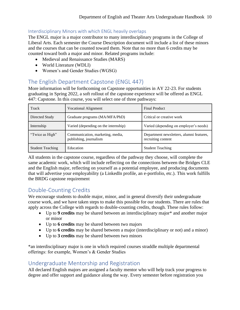#### <span id="page-9-0"></span>Interdisciplinary Minors with which ENGL heavily overlaps

The ENGL major is a major contributor to many interdisciplinary programs in the College of Liberal Arts. Each semester the Course Description document will include a list of these minors and the courses that can be counted toward them. Note that no more than 6 credits may be counted toward both a major and minor. Related programs include:

- Medieval and Renaissance Studies (MARS)
- World Literature (WDLI)
- Women's and Gender Studies (WGSG)

# <span id="page-9-1"></span>The English Department Capstone (ENGL 447)

More information will be forthcoming on Capstone opportunities in AY 22-23. For students graduating in Spring 2022, a soft rollout of the capstone experience will be offered as ENGL 447: Capstone. In this course, you will select one of three pathways:

| Track                   | <b>Vocational Alignment</b>                                | Final Product                                                  |
|-------------------------|------------------------------------------------------------|----------------------------------------------------------------|
| Directed Study          | Graduate programs (MA/MFA/PhD)                             | Critical or creative work                                      |
| Internship              | Varied (depending on the internship)                       | Varied (depending on employer's needs)                         |
| "Twice as High"         | Communication, marketing, media,<br>publishing, journalism | Department newsletters, alumni features,<br>recruiting content |
| <b>Student Teaching</b> | Education                                                  | <b>Student Teaching</b>                                        |

All students in the capstone course, regardless of the pathway they choose, will complete the same academic work, which will include reflecting on the connections between the Bridges CLE and the English major, reflecting on yourself as a potential employee, and producing documents that will advertise your employability (a LinkedIn profile, an e-portfolio, etc.). This work fulfills the BRDG capstone requirement

## <span id="page-9-2"></span>Double-Counting Credits

We encourage students to double major, minor, and in general diversify their undergraduate course work, and we have taken steps to make this possible for our students. There are rules that apply across the College with regards to double-counting credits, though. These rules follow:

- Up to **9 credits** may be shared between an interdisciplinary major\* and another major or minor
- Up to **6 credits** may be shared between two majors
- Up to **6 credits** may be shared between a major (interdisciplinary or not) and a minor)
- Up to **3 credits** may be shared between two minors

\*an interdisciplinary major is one in which required courses straddle multiple departmental offerings: for example, Women's & Gender Studies

## <span id="page-9-3"></span>Undergraduate Mentorship and Registration

All declared English majors are assigned a faculty mentor who will help track your progress to degree and offer support and guidance along the way. Every semester before registration you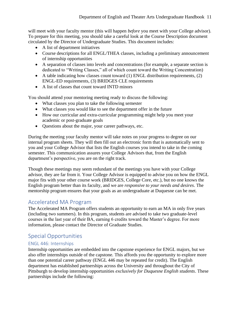will meet with your faculty mentor (this will happen *before* you meet with your College advisor). To prepare for this meeting, you should take a careful look at the Course Description document circulated by the Director of Undergraduate Studies. This document includes:

- A list of department initiatives
- Course descriptions for all ENGL/THEA classes, including a preliminary announcement of internship opportunities
- A separation of classes into levels and concentrations (for example, a separate section is dedicated to "Writing Classes," all of which count toward the Writing Concentration)
- A table indicating how classes count toward  $(1)$  ENGL distribution requirements,  $(2)$ ENGL-ED requirements, (3) BRIDGES CLE requirements
- A list of classes that count toward INTD minors

You should attend your mentoring meeting ready to discuss the following:

- What classes you plan to take the following semester
- What classes you would like to see the department offer in the future
- How our curricular and extra-curricular programming might help you meet your academic or post-graduate goals
- Ouestions about the major, your career pathways, etc.

During the meeting your faculty mentor will take notes on your progress to degree on our internal program sheets. They will then fill out an electronic form that is automatically sent to you and your College Advisor that lists the English courses you intend to take in the coming semester. This communication assures your College Advisors that, from the English department's perspective, you are on the right track.

Though these meetings may seem redundant of the meetings you have with your College advisor, they are far from it. Your College Advisor is equipped to advise you on how the ENGL major fits with your other course work (BRIDGES, College Core, etc.), but no one knows the English program better than its faculty, and we are *responsive to your needs and desires*. The mentorship program ensures that your goals as an undergraduate at Duquesne can be met.

## <span id="page-10-0"></span>Accelerated MA Program

The Accelerated MA Program offers students an opportunity to earn an MA in only five years (including two summers). In this program, students are advised to take two graduate-level courses in the last year of their BA, earning 6 credits toward the Master's degree. For more information, please contact the Director of Graduate Studies.

## <span id="page-10-1"></span>Special Opportunities

#### <span id="page-10-2"></span>ENGL 446: Internships

Internship opportunities are embedded into the capstone experience for ENGL majors, but we also offer internships outside of the capstone. This affords you the opportunity to explore more than one potential career pathway (ENGL 446 may be repeated for credit). The English department has established partnerships across the University and throughout the City of Pittsburgh to develop internship opportunities *exclusively for Duquesne English students*. These partnerships include the following: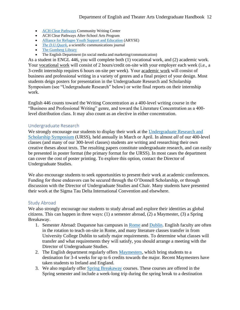- [ACH Clear Pathways](https://www.achclearpathways.org/) Community Writing Center
- ACH Clear Pathways After-School Arts Program
- [Alliance for Refugee Youth Support and Education](https://www.arysepgh.org/) (ARYSE)
- *[The D.U.Quark](https://duquark.com/)*, a scientific communications journal
- [The Gumberg Library](https://duq.edu/academics/gumberg-library)
- The English Department (in social media and marketing/communication)

As a student in ENGL 446, you will complete both (1) vocational work, and (2) academic work. Your vocational work will consist of 2 hours/credit on-site with your employer each week (i.e., a 3-credit internship requires 6 hours on-site per week). Your academic work will consist of business and professional writing in a variety of genres and a final project of your design. Most students deign posters for presentation in the Undergraduate Research and Scholarship Symposium (see "Undergraduate Research" below) or write final reports on their internship work.

English 446 counts toward the Writing Concentration as a 400-level writing course in the "Business and Professional Writing" genre, and toward the Literature Concentration as a 400 level distribution class. It may also count as an elective in either concentration.

#### <span id="page-11-0"></span>Undergraduate Research

We strongly encourage our students to display their work at the Undergraduate Research and [Scholarship Symposium](https://duq.edu/research/student-research/2019-urss-video-competition-/urss) (URSS), held annually in March or April. In almost *all* of our 400-level classes (and many of our 300-level classes) students are writing and researching their own creative theses about texts. The resulting papers constitute undergraduate research, and can easily be presented in poster format (the primary format for the URSS). In most cases the department can cover the cost of poster printing. To explore this option, contact the Director of Undergraduate Studies.

We also encourage students to seek opportunities to present their work at academic conferences. Funding for these endeavors can be secured through the O'Donnell Scholarship, or through discussion with the Director of Undergraduate Studies and Chair. Many students have presented their work at the Sigma Tau Delta International Convention and elsewhere.

#### <span id="page-11-1"></span>Study Abroad

We also strongly encourage our students to study abroad and explore their identities as global citizens. This can happen in three ways: (1) a semester abroad, (2) a Maymester, (3) a Spring Breakaway.

- 1. Semester Abroad: Duquesne has campuses in [Rome](https://www.duq.edu/academics/study-abroad/duquesne-in-rome) and [Dublin.](https://www.duq.edu/academics/study-abroad/duquesne-in-dublinhttps:/www.duq.edu/academics/study-abroad/duquesne-in-dublin) English faculty are often in the rotation to teach on-site in Rome, and many literature classes transfer in from University College Dublin to satisfy major requirements. To determine what classes will transfer and what requirements they will satisfy, you should arrange a meeting with the Director of Undergraduate Studies.
- 2. The English department regularly offers [Maymesters,](https://www.duq.edu/academics/study-abroad/maymester) which bring students to a destination for 3-4 weeks for up to 6 credits towards the major. Recent Maymesters have taken students to Ireland and England.
- 3. We also regularly offer [Spring Breakaway](https://www.duq.edu/academics/study-abroad/spring-break-away) courses. These courses are offered in the Spring semester and include a week-long trip during the spring break to a destination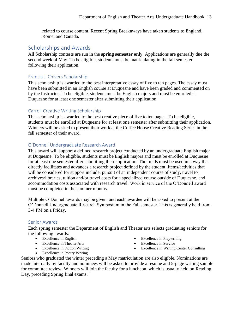related to course content. Recent Spring Breakaways have taken students to England, Rome, and Canada.

## <span id="page-12-0"></span>Scholarships and Awards

All Scholarship contests are run in the **spring semester only**. Applications are generally due the second week of May. To be eligible, students must be matriculating in the fall semester following their application.

#### <span id="page-12-1"></span>Francis J. Chivers Scholarship

This scholarship is awarded to the best interpretative essay of five to ten pages. The essay must have been submitted in an English course at Duquesne and have been graded and commented on by the Instructor. To be eligible, students must be English majors and must be enrolled at Duquesne for at least one semester after submitting their application.

#### <span id="page-12-2"></span>Carroll Creative Writing Scholarship

This scholarship is awarded to the best creative piece of five to ten pages. To be eligible, students must be enrolled at Duquesne for at least one semester after submitting their application. Winners will be asked to present their work at the Coffee House Creative Reading Series in the fall semester of their award.

#### <span id="page-12-3"></span>O'Donnell Undergraduate Research Award

This award will support a defined research project conducted by an undergraduate English major at Duquesne. To be eligible, students must be English majors and must be enrolled at Duquesne for at least one semester after submitting their application. The funds must be used in a way that directly facilitates and advances a research project defined by the student. Items/activities that will be considered for support include: pursuit of an independent course of study, travel to archives/libraries, tuition and/or travel costs for a specialized course outside of Duquesne, and accommodation costs associated with research travel. Work in service of the O'Donnell award must be completed in the summer months.

Multiple O'Donnell awards may be given, and each awardee will be asked to present at the O'Donnell Undergraduate Research Symposium in the Fall semester. This is generally held from 3-4 PM on a Friday.

#### <span id="page-12-4"></span>Senior Awards

Each spring semester the Department of English and Theater arts selects graduating seniors for the following awards:

- Excellence in English
- Excellence in Theater Arts
- Excellence in Fiction Writing
- Excellence in Poetry Writing
- Excellence in Playwriting
- Excellence in Service
- Excellence in Writing Center Consulting

Seniors who graduated the winter preceding a May matriculation are also eligible. Nominations are made internally by faculty and nominees will be asked to provide a resume and 5-page writing sample for committee review. Winners will join the faculty for a luncheon, which is usually held on Reading Day, preceding Spring final exams.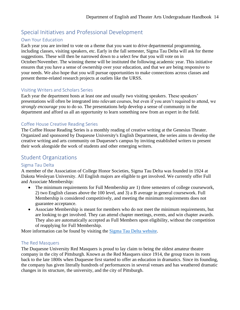# <span id="page-13-0"></span>Special Initiatives and Professional Development

#### <span id="page-13-1"></span>Own Your Education

Each year you are invited to vote on a theme that you want to drive departmental programming, including classes, visiting speakers, etc. Early in the fall semester, Sigma Tau Delta will ask for theme suggestions. These will then be narrowed down to a select few that you will vote on in October/November. The winning theme will be instituted the following academic year. This initiative ensures that you have a sense of ownership over your education, and that we are being responsive to your needs. We also hope that you will pursue opportunities to make connections across classes and present theme-related research projects at outlets like the URSS.

#### <span id="page-13-2"></span>Visiting Writers and Scholars Series

Each year the department hosts at least one and usually two visiting speakers. These speakers' presentations will often be integrated into relevant courses, but even if you aren't required to attend, we *strongly encourage* you to do so. The presentations help develop a sense of community in the department and afford us all an opportunity to learn something new from an expert in the field.

#### <span id="page-13-3"></span>Coffee House Creative Reading Series

The Coffee House Reading Series is a monthly reading of creative writing at the Genesius Theater. Organized and sponsored by Duquesne University's English Department, the series aims to develop the creative writing and arts community on Duquesne's campus by inviting established writers to present their work alongside the work of students and other emerging writers.

## <span id="page-13-4"></span>Student Organizations

#### <span id="page-13-5"></span>Sigma Tau Delta

A member of the Association of College Honor Societies, Sigma Tau Delta was founded in 1924 at Dakota Wesleyan University. All English majors are eligible to get involved. We currently offer Full and Associate Membership:

- The minimum requirements for Full Membership are 1) three semesters of college coursework, 2) two English classes above the 100 level, and 3) a B average in general coursework. Full Membership is considered competitively, and meeting the minimum requirements does not guarantee acceptance.
- Associate Membership is meant for members who do not meet the minimum requirements, but are looking to get involved. They can attend chapter meetings, events, and win chapter awards. They also are automatically accepted as Full Members upon eligibility, without the competition of reapplying for Full Membership.

More information can be found by visiting the [Sigma Tau Delta website.](https://www.english.org/)

#### <span id="page-13-6"></span>The Red Masquers

The Duquesne University Red Masquers is proud to lay claim to being the oldest amateur theatre company in the city of Pittsburgh. Known as the Red Masquers since 1914, the group traces its roots back to the late 1800s when Duquesne first started to offer an education in dramatics. Since its founding, the company has given literally hundreds of performances in several venues and has weathered dramatic changes in its structure, the university, and the city of Pittsburgh.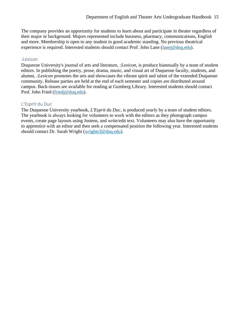The company provides an opportunity for students to learn about and participate in theater regardless of their major or background. Majors represented include business, pharmacy, communications, English and more. Membership is open to any student in good academic standing. No previous theatrical experience is required. Interested students should contact Prof. John Lane [\(lanej@duq.edu\)](mailto:lanej@duq.edu).

#### <span id="page-14-0"></span>*:Lexicon*

Duquesne University's journal of arts and literature, *:Lexicon*, is produce biannually by a team of student editors. In publishing the poetry, prose, drama, music, and visual art of Duquesne faculty, students, and alumni, *:Lexicon* promotes the arts and showcases the vibrant spirit and talent of the extended Duquesne community. Release parties are held at the end of each semester and copies are distributed around campus. Back-issues are available for reading at Gumberg Library. Interested students should contact Prof. John Fried [\(friedj@duq.edu\)](mailto:friedj@duq.edu).

#### <span id="page-14-1"></span>L'Esprit du Duc

The Duquesne University yearbook, *L'Esprit du Duc*, is produced yearly by a team of student editors. The yearbook is always looking for volunteers to work with the editors as they photograph campus events, create page layouts using Jostens, and write/edit text. Volunteers may also have the opportunity to apprentice with an editor and then seek a compensated position the following year. Interested students should contact Dr. Sarah Wright [\(wrights3@duq.edu\)](mailto:wrights3@duq.edu).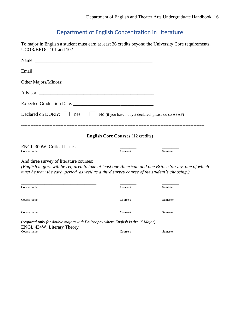# Department of English Concentration in Literature

<span id="page-15-0"></span>To major in English a student must earn at least 36 credits beyond the University Core requirements, UCOR/BRDG 101 and 102

|                                                  | Declared on DORI?: $\Box$ Yes $\Box$ No (if you have not yet declared, please do so ASAP) |          |
|--------------------------------------------------|-------------------------------------------------------------------------------------------|----------|
|                                                  | <b>English Core Courses</b> (12 credits)                                                  |          |
| <b>ENGL 300W: Critical Issues</b><br>Course name | Course #                                                                                  | Semester |

And three survey of literature courses:

*(English majors will be required to take at least one American and one British Survey, one of which must be from the early period, as well as a third survey course of the student's choosing.)*

| Course name | Course # | Semester |
|-------------|----------|----------|
| Course name | Course # | Semester |
| Course name | Course # | Semester |

(*required only for double majors with Philosophy where English is the 1st Major)* ENGL 434W: Literary Theory  $\overline{\text{Course}}$  #  $\overline{\text{Course}}$   $\overline{\text{ն}}$ Course name Course # Semester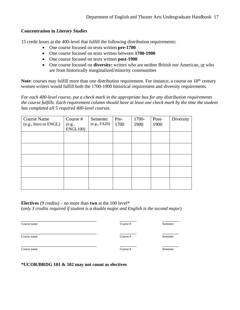#### **Concentration in** *Literary Studies*

15 credit hours at the 400-level that fulfill the following distribution requirements:

- One course focused on texts written **pre-1700**
- One course focused on texts written between **1700-1900**
- One course focused on texts written **post-1900**
- One course focused on **diversity:** writers who are neither British nor American, or who are from historically marginalized/minority communities

Note: courses may fulfill more than one distribution requirement. For instance, a course on 18<sup>th</sup> century women writers would fulfill both the 1700-1900 historical requirement and diversity requirements.

*For each 400-level course, put a check mark in the appropriate box for any distribution requirements the course fulfills. Each requirement column should have at least one check mark by the time the student has completed all 5 required 400-level courses.*

| <b>Course Name</b><br>(e.g., Intro to ENGL) | Course #<br>(e.g., | Semester<br>(e.g., FA20) | Pre-<br>1700 | 1700-<br>1900 | Post-<br>1900 | Diversity |
|---------------------------------------------|--------------------|--------------------------|--------------|---------------|---------------|-----------|
|                                             | ENGL100            |                          |              |               |               |           |
|                                             |                    |                          |              |               |               |           |
|                                             |                    |                          |              |               |               |           |
|                                             |                    |                          |              |               |               |           |
|                                             |                    |                          |              |               |               |           |
|                                             |                    |                          |              |               |               |           |
|                                             |                    |                          |              |               |               |           |
|                                             |                    |                          |              |               |               |           |
|                                             |                    |                          |              |               |               |           |
|                                             |                    |                          |              |               |               |           |
|                                             |                    |                          |              |               |               |           |

#### **Electives** (9 credits) – no more than **two** at the 100 level\*

(*only 3 credits required if student is a double major and English is the second major*)

| Course name | Course # | Semester |
|-------------|----------|----------|
|             |          |          |
| Course name | Course # | Semester |
| Course name | Course # | Semester |

#### **\*UCOR/BRDG 101 & 102 may not count as electives**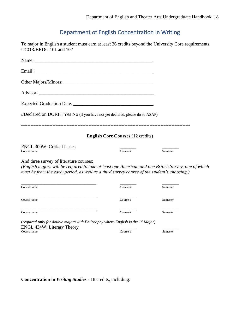# Department of English Concentration in Writing

<span id="page-17-0"></span>To major in English a student must earn at least 36 credits beyond the University Core requirements, UCOR/BRDG 101 and 102

| Other Majors/Minors:                                                          |                                          |          |
|-------------------------------------------------------------------------------|------------------------------------------|----------|
|                                                                               |                                          |          |
|                                                                               |                                          |          |
| //Declared on DORI?: Yes No (if you have not yet declared, please do so ASAP) |                                          |          |
|                                                                               | <b>English Core Courses (12 credits)</b> |          |
| <b>ENGL 300W: Critical Issues</b><br>Course name                              | Course $#$                               | Semester |

And three survey of literature courses:

*(English majors will be required to take at least one American and one British Survey, one of which must be from the early period, as well as a third survey course of the student's choosing.)*

| Course name | Course # | Semester |
|-------------|----------|----------|
| Course name | Course # | Semester |
| Course name | Course # | Semester |

(*required only for double majors with Philosophy where English is the 1st Major)*  $\underline{ENGL}$  434W: Literary Theory<br>
Course name<br>  $\underline{Course #}$   $\overline{Semester}$ Course name Course # Semester

**Concentration in** *Writing Studies -* 18 credits, including: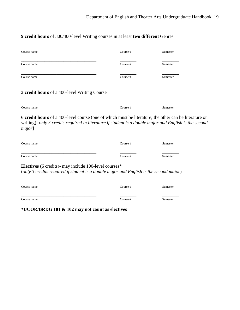#### **9 credit hours** of 300/400-level Writing courses in at least **two different** Genres

| Course name                                  | Course # | Semester |
|----------------------------------------------|----------|----------|
| Course name                                  | Course # | Semester |
| Course name                                  | Course # | Semester |
| 3 credit hours of a 400-level Writing Course |          |          |
| Course name                                  | Course # | Semester |

**6 credit hours** of a 400-level course (one of which must be literature; the other can be literature or writing) [*only 3 credits required in literature if student is a double major and English is the second major*]

| Course name | Course # | Semester |  |
|-------------|----------|----------|--|
| Course name | Course # | Semester |  |

**Electives** (6 credits)- may include 100-level courses\*

(*only 3 credits required if student is a double major and English is the second major*)

| Course name | Course # | Semester |
|-------------|----------|----------|
| Course name | Course # | Semester |

**\*UCOR/BRDG 101 & 102 may not count as electives**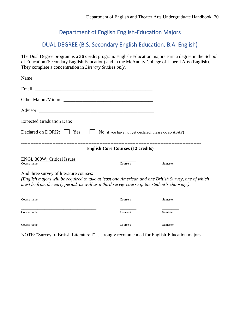# Department of English English-Education Majors

## DUAL DEGREE (B.S. Secondary English Education, B.A. English)

<span id="page-19-0"></span>The Dual Degree program is a **36 credit** program. English-Education majors earn a degree in the School of Education (Secondary English Education) and in the McAnulty College of Liberal Arts (English). They complete a concentration in *Literary Studies only*.

| Declared on DORI?:     Yes                                                                                                                                                                                                                    |                                          | No (if you have not yet declared, please do so ASAP) |
|-----------------------------------------------------------------------------------------------------------------------------------------------------------------------------------------------------------------------------------------------|------------------------------------------|------------------------------------------------------|
|                                                                                                                                                                                                                                               | <b>English Core Courses (12 credits)</b> |                                                      |
| <b>ENGL 300W: Critical Issues</b><br>Course name                                                                                                                                                                                              | Course $#$                               | Semester                                             |
| And three survey of literature courses:<br>(English majors will be required to take at least one American and one British Survey, one of which<br>must be from the early period, as well as a third survey course of the student's choosing.) |                                          |                                                      |

| Course name | Course # | Semester |
|-------------|----------|----------|
| Course name | Course # | Semester |
| Course name | Course # | Semester |

NOTE: "Survey of British Literature I" is strongly recommended for English-Education majors.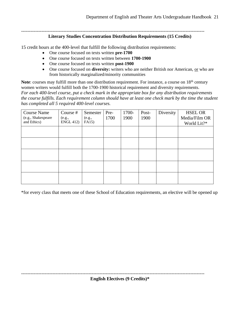#### --------------------------------------------------------------------------------------------------------------------- **Literary Studies Concentration Distribution Requirements (15 Credits)**

15 credit hours at the 400-level that fulfill the following distribution requirements:

- One course focused on texts written **pre-1700**
- One course focused on texts written between **1700-1900**
- One course focused on texts written **post-1900**
- One course focused on **diversity:** writers who are neither British nor American, or who are from historically marginalized/minority communities

**Note:** courses may fulfill more than one distribution requirement. For instance, a course on 18<sup>th</sup> century women writers would fulfill both the 1700-1900 historical requirement and diversity requirements. *For each 400-level course, put a check mark in the appropriate box for any distribution requirements the course fulfills. Each requirement column should have at least one check mark by the time the student has completed all 5 required 400-level courses.*

| Course Name<br>(e.g., Shakespeare<br>and Ethics) | Course #<br>(e.g.,<br><b>ENGL 412)</b> | Semester<br>(e.g.,<br>FA15) | Pre-<br>1700 | 1700-<br>1900 | Post-<br>1900 | Diversity | <b>HSEL OR</b><br>Media/Film OR<br>World Lit?* |
|--------------------------------------------------|----------------------------------------|-----------------------------|--------------|---------------|---------------|-----------|------------------------------------------------|
|                                                  |                                        |                             |              |               |               |           |                                                |
|                                                  |                                        |                             |              |               |               |           |                                                |
|                                                  |                                        |                             |              |               |               |           |                                                |
|                                                  |                                        |                             |              |               |               |           |                                                |
|                                                  |                                        |                             |              |               |               |           |                                                |

\*for every class that meets one of these School of Education requirements, an elective will be opened up

---------------------------------------------------------------------------------------------------------------------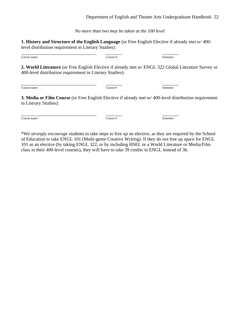*No more than two may be taken at the 100 level*

**1. History and Structure of the English Language** (or Free English Elective if already met w/ 400 level distribution requirement in Literary Studies):

\_\_\_\_\_\_\_\_\_\_\_\_\_\_\_\_\_\_\_\_\_\_\_\_\_\_\_\_\_\_\_\_ \_\_\_\_\_\_\_ \_\_\_\_\_\_\_

Course name Course # Semester **2. World Literature** (or Free English Elective if already met w/ ENGL 322 Global Literature Survey or 400-level distribution requirement in Literary Studies): \_\_\_\_\_\_\_\_\_\_\_\_\_\_\_\_\_\_\_\_\_\_\_\_\_\_\_\_\_\_\_\_ \_\_\_\_\_\_\_ \_\_\_\_\_\_\_ **Course name** Semester

**3. Media or Film Course** (or Free English Elective if already met w/ 400-level distribution requirement in Literary Studies):

\_\_\_\_\_\_\_\_\_\_\_\_\_\_\_\_\_\_\_\_\_\_\_\_\_\_\_\_\_\_\_\_ \_\_\_\_\_\_\_ \_\_\_\_\_\_\_ Course name Course # Semester

\*We *strongly encourage* students to take steps to free up an elective, as they are required by the School of Education to take ENGL 101 (Multi-genre Creative Writing). If they do not free up space for ENGL 101 as an elective (by taking ENGL 322, or by including HSEL or a World Literature or Media/Film class in their 400-level courses), they will have to take 39 credits in ENGL instead of 36.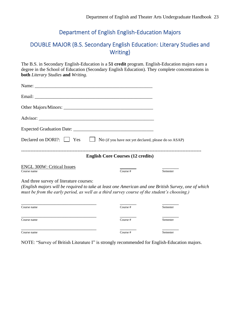# Department of English English-Education Majors

# <span id="page-22-0"></span>DOUBLE MAJOR (B.S. Secondary English Education: Literary Studies and Writing)

The B.S. in Secondary English-Education is a **51 credit** program. English-Education majors earn a degree in the School of Education (Secondary English Education). They complete concentrations in **both** *Literary Studies* **and** *Writing*.

| Declared on DORI?: $\Box$ Yes $\Box$ No (if you have not yet declared, please do so ASAP)         |                                          |          |
|---------------------------------------------------------------------------------------------------|------------------------------------------|----------|
|                                                                                                   | <b>English Core Courses (12 credits)</b> |          |
| <b>ENGL 300W: Critical Issues</b><br>Course name                                                  | Course $#$                               | Semester |
| And three survey of literature courses:                                                           |                                          |          |
| (Fuglish maiors will be required to take at least one American and one Pritish Survey, one of whi |                                          |          |

*(English majors will be required to take at least one American and one British Survey, one of which must be from the early period, as well as a third survey course of the student's choosing.)*

| Course name | Course # | Semester |
|-------------|----------|----------|
| Course name | Course # | Semester |
| Course name | Course # | Semester |

NOTE: "Survey of British Literature I" is strongly recommended for English-Education majors.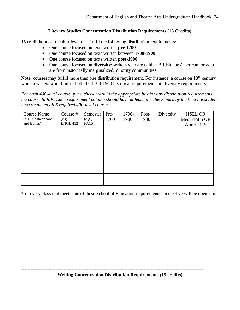#### **Literary Studies Concentration Distribution Requirements (15 Credits)**

15 credit hours at the 400-level that fulfill the following distribution requirements:

- One course focused on texts written **pre-1700**
- One course focused on texts written between **1700-1900**
- One course focused on texts written **post-1900**
- One course focused on **diversity:** writers who are neither British nor American, or who are from historically marginalized/minority communities

**Note**: courses may fulfill more than one distribution requirement. For instance, a course on 18<sup>th</sup> century women writers would fulfill both the 1700-1900 historical requirement and diversity requirements.

*For each 400-level course, put a check mark in the appropriate box for any distribution requirements the course fulfills. Each requirement column should have at least one check mark by the time the student has completed all 5 required 400-level courses.*

| Course Name<br>(e.g., Shakespeare<br>and Ethics) | Course #<br>(e.g.,<br><b>ENGL 412)</b> | Semester<br>(e.g.,<br>FA15) | Pre-<br>1700 | 1700-<br>1900 | Post-<br>1900 | Diversity | <b>HSEL OR</b><br>Media/Film OR<br>World Lit?* |
|--------------------------------------------------|----------------------------------------|-----------------------------|--------------|---------------|---------------|-----------|------------------------------------------------|
|                                                  |                                        |                             |              |               |               |           |                                                |
|                                                  |                                        |                             |              |               |               |           |                                                |
|                                                  |                                        |                             |              |               |               |           |                                                |
|                                                  |                                        |                             |              |               |               |           |                                                |
|                                                  |                                        |                             |              |               |               |           |                                                |

\*for every class that meets one of these School of Education requirements, an elective will be opened up

--------------------------------------------------------------------------------------------------------------------- **Writing Concentration Distribution Requirements (15 credits)**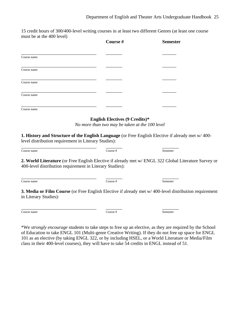15 credit hours of 300/400-level writing courses in at least two different Genres (at least one course must be at the 400 level)

| $\overline{\phantom{a}}$ | Course # | <b>Semester</b> |
|--------------------------|----------|-----------------|
| Course name              |          |                 |
| Course name              |          |                 |
| Course name              |          |                 |
| Course name              |          |                 |
| Course name              |          |                 |

**English Electives (9 Credits)\***

*No more than two may be taken at the 100 level*

**1. History and Structure of the English Language** (or Free English Elective if already met w/ 400 level distribution requirement in Literary Studies):

| ⌒<br>Course name | `ourse. |  |
|------------------|---------|--|

**2. World Literature** (or Free English Elective if already met w/ ENGL 322 Global Literature Survey or 400-level distribution requirement in Literary Studies):

\_\_\_\_\_\_\_\_\_\_\_\_\_\_\_\_\_\_\_\_\_\_\_\_\_\_\_\_\_\_\_\_ \_\_\_\_\_\_\_ \_\_\_\_\_\_\_ Course name Course # Semester

**3. Media or Film Course** (or Free English Elective if already met w/ 400-level distribution requirement in Literary Studies):

Course name Course # Semester

\_\_\_\_\_\_\_\_\_\_\_\_\_\_\_\_\_\_\_\_\_\_\_\_\_\_\_\_\_\_\_\_ \_\_\_\_\_\_\_ \_\_\_\_\_\_\_

\*We *strongly encourage* students to take steps to free up an elective, as they are required by the School of Education to take ENGL 101 (Multi-genre Creative Writing). If they do not free up space for ENGL 101 as an elective (by taking ENGL 322, or by including HSEL, or a World Literature or Media/Film class in their 400-level courses), they will have to take 54 credits in ENGL instead of 51.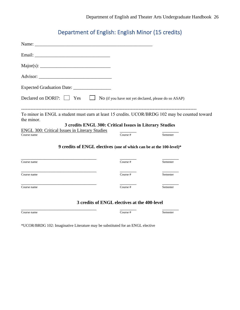# Department of English: English Minor (15 credits)

<span id="page-25-0"></span>

| Declared on DORI?: <u>Let</u> Yes                                                                                                                                                                                                             |                                              | $\Box$ No (if you have not yet declared, please do so ASAP) |
|-----------------------------------------------------------------------------------------------------------------------------------------------------------------------------------------------------------------------------------------------|----------------------------------------------|-------------------------------------------------------------|
| To minor in ENGL a student must earn at least 15 credits. UCOR/BRDG 102 may be counted toward<br>the minor.<br>3 credits ENGL 300: Critical Issues in Literary Studies<br><b>ENGL 300: Critical Issues in Literary Studies</b><br>Course name | Course #                                     | Semester                                                    |
| 9 credits of ENGL electives (one of which can be at the 100-level)*                                                                                                                                                                           |                                              |                                                             |
| Course name                                                                                                                                                                                                                                   | Course #                                     | Semester                                                    |
| Course name                                                                                                                                                                                                                                   | Course $#$                                   | Semester                                                    |
| Course name                                                                                                                                                                                                                                   | Course #                                     | Semester                                                    |
|                                                                                                                                                                                                                                               | 3 credits of ENGL electives at the 400-level |                                                             |
| Course name                                                                                                                                                                                                                                   | Course #                                     | Semester                                                    |

\*UCOR/BRDG 102: Imaginative Literature may be substituted for an ENGL elective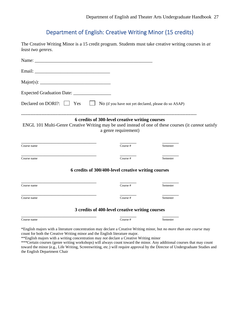# Department of English: Creative Writing Minor (15 credits)

<span id="page-26-0"></span>The Creative Writing Minor is a 15 credit program. Students must take creative writing courses in *at least two genres*.

| Declared on DORI?: [13] Yes                                                                                 | No (if you have not yet declared, please do so ASAP)                    |          |
|-------------------------------------------------------------------------------------------------------------|-------------------------------------------------------------------------|----------|
| ENGL 101 Multi-Genre Creative Writing may be used instead of one of these courses (it <i>cannot</i> satisfy | 6 credits of 300-level creative writing courses<br>a genre requirement) |          |
| Course name                                                                                                 | Course #                                                                | Semester |
| Course name                                                                                                 | Course #                                                                | Semester |
|                                                                                                             | 6 credits of 300/400-level creative writing courses                     |          |
| Course name                                                                                                 | Course #                                                                | Semester |
| Course name                                                                                                 | Course #                                                                | Semester |
|                                                                                                             | 3 credits of 400-level creative writing courses                         |          |
| Course name                                                                                                 | Course #                                                                | Semester |

\*English majors with a literature concentration may declare a Creative Writing minor, but *no more than one course* may count for both the Creative Writing minor and the English literature major.

\*\*English majors with a writing concentration may *not* declare a Creative Writing minor

\*\*\*Certain courses (genre writing workshops) will always count toward the minor. Any additional courses that may count toward the minor (e.g., Life Writing, Screenwriting, etc.) will require approval by the Director of Undergraduate Studies and the English Department Chair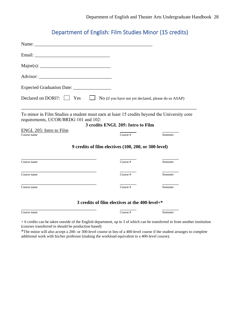# Department of English: Film Studies Minor (15 credits)

<span id="page-27-0"></span>

| Expected Graduation Date: _________________                                                                                         |                                   |          |
|-------------------------------------------------------------------------------------------------------------------------------------|-----------------------------------|----------|
| Declared on DORI?: $\Box$ Yes $\Box$ No (if you have not yet declared, please do so ASAP)                                           |                                   |          |
| To minor in Film Studies a student must earn at least 15 credits beyond the University core<br>requirements, UCOR/BRDG 101 and 102: | 3 credits ENGL 205: Intro to Film |          |
| <b>ENGL 205: Intro to Film</b><br>Course name                                                                                       | Course #                          | Semester |
| 9 credits of film electives (100, 200, or 300-level)                                                                                |                                   |          |
| Course name                                                                                                                         | Course $#$                        | Semester |
| Course name                                                                                                                         | Course $#$                        | Semester |
| Course name                                                                                                                         | Course #                          | Semester |
| 3 credits of film electives at the 400-level+*                                                                                      |                                   |          |

Course name Course # Semester

+ 6 credits can be taken outside of the English department, up to 3 of which can be transferred in from another institution (courses transferred in should be production based)

\*The minor will also accept a 200- or 300-level course in lieu of a 400-level course if the student arranges to complete additional work with his/her professor (making the workload equivalent to a 400-level course).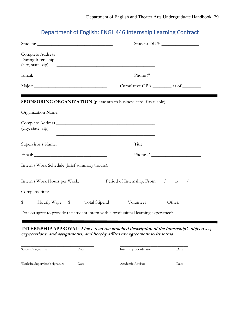# Department of English: ENGL 446 Internship Learning Contract

<span id="page-28-0"></span>

|                                                                                     |                                         | Student DU#: ____________________ |
|-------------------------------------------------------------------------------------|-----------------------------------------|-----------------------------------|
| During Internship<br>(city, state, zip):                                            |                                         |                                   |
|                                                                                     |                                         |                                   |
|                                                                                     | Cumulative GPA _________ as of ________ |                                   |
| SPONSORING ORGANIZATION (please attach business card if available)                  |                                         |                                   |
|                                                                                     |                                         |                                   |
| (city, state, zip):<br><u> 1989 - Johann John Stein, marwolaethau (b. 1989)</u>     |                                         |                                   |
|                                                                                     |                                         |                                   |
|                                                                                     |                                         |                                   |
| Intern's Work Schedule (brief summary/hours):                                       |                                         |                                   |
|                                                                                     |                                         |                                   |
| Compensation:                                                                       |                                         |                                   |
| \$ _____ Hourly Wage \$ _____ Total Stipend ______ Volunteer _______ Other: _______ |                                         |                                   |
| Do you agree to provide the student intern with a professional learning experience? |                                         |                                   |

#### **INTERNSHIP APPROVAL: I have read the attached description of the internship's objectives, expectations, and assignments, and hereby affirm my agreement to its terms**

| Student's signature             | Date | Internship coordinator | Date |
|---------------------------------|------|------------------------|------|
| Worksite Supervisor's signature | Date | Academic Advisor       | Date |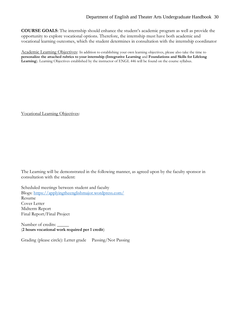**COURSE GOALS**: The internship should enhance the student's academic program as well as provide the opportunity to explore vocational options. Therefore, the internship must have both academic and vocational learning outcomes, which the student determines in consultation with the internship coordinator

Academic Learning Objectives: In addition to establishing your own learning objectives, please also take the time to **personalize the attached rubrics to your internship (Integrative Learning** and **Foundations and Skills for Lifelong Learning**). Learning Objectives established by the instructor of ENGL 446 will be found on the course syllabus.

Vocational Learning Objectives:

The Learning will be demonstrated in the following manner, as agreed upon by the faculty sponsor in consultation with the student:

Scheduled meetings between student and faculty Blogs:<https://applyingtheenglishmajor.wordpress.com/> Resume Cover Letter Midterm Report Final Report/Final Project

Number of credits: (**2 hours vocational work required per 1 credit**)

Grading (please circle): Letter grade Passing/Not Passing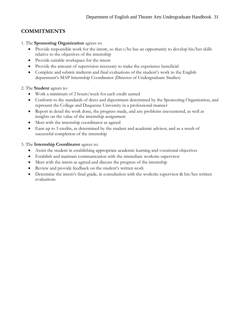## **COMMITMENTS**

- 1. The **Sponsoring Organization** agrees to:
	- Provide responsible work for the intern, so that s/he has an opportunity to develop his/her skills relative to the objectives of the internship
	- Provide suitable workspace for the intern
	- Provide the amount of supervision necessary to make the experience beneficial
	- Complete and submit midterm and final evaluations of the student's work to the English department's MAP Internship Coordinator (Director of Undergraduate Studies)

#### 2. The **Student** agrees to:

- Work a minimum of 2 hours/week for each credit earned
- Conform to the standards of dress and deportment determined by the Sponsoring Organization, and represent the College and Duquesne University in a professional manner
- Report in detail the work done, the progress made, and any problems encountered, as well as insights on the value of the internship assignment
- Meet with the internship coordinator as agreed
- Earn up to 3 credits, as determined by the student and academic advisor, and as a result of successful completion of the internship

#### 3. The **Internship Coordinator** agrees to:

- Assist the student in establishing appropriate academic learning and vocational objectives
- Establish and maintain communication with the immediate worksite supervisor
- Meet with the intern as agreed and discuss the progress of the internship
- Review and provide feedback on the student's written work
- Determine the intern's final grade, in consultation with the worksite supervisor & his/her written evaluations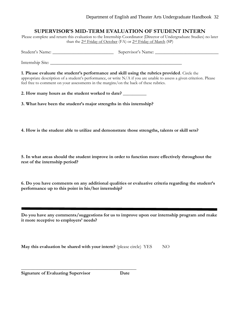#### **SUPERVISOR'S MID-TERM EVALUATION OF STUDENT INTERN**

Please complete and return this evaluation to the Internship Coordinator (Director of Undergraduate Studies) no later than the 2nd Friday of October (FA) or 2nd Friday of March (SP)

Student's Name: \_\_\_\_\_\_\_\_\_\_\_\_\_\_\_\_\_\_\_\_\_\_\_\_\_\_ Supervisor's Name: \_\_\_\_\_\_\_\_\_\_\_\_\_\_\_\_\_\_\_\_\_\_\_\_\_\_\_

Internship Site: \_\_\_\_\_\_\_\_\_\_\_\_\_\_\_\_\_\_\_\_\_\_\_\_\_\_\_\_\_\_\_\_\_\_\_\_\_\_\_\_\_\_\_\_\_\_\_\_\_\_\_\_\_\_\_\_

**1. Please evaluate the student's performance and skill using the rubrics provided**. Circle the appropriate description of a student's performance, or write  $N/A$  if you are unable to assess a given criterion. Please feel free to comment on your assessments in the margins/on the back of these rubrics.

**2. How many hours as the student worked to date? \_\_\_\_\_\_\_\_\_\_**

**3. What have been the student's major strengths in this internship?**

**4. How is the student able to utilize and demonstrate those strengths, talents or skill sets?**

**5. In what areas should the student improve in order to function more effectively throughout the rest of the internship period?**

**6. Do you have comments on any additional qualities or evaluative criteria regarding the student's performance up to this point in his/her internship?**

**Do you have any comments/suggestions for us to improve upon our internship program and make it more receptive to employers' needs?**

|  |  |  |  |  |  | May this evaluation be shared with your intern? (please circle) YES |  | NO. |
|--|--|--|--|--|--|---------------------------------------------------------------------|--|-----|
|--|--|--|--|--|--|---------------------------------------------------------------------|--|-----|

**Signature of Evaluating Supervisor Date**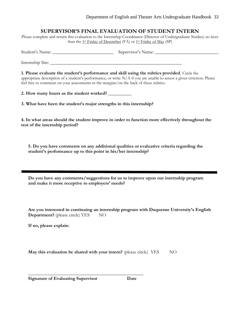#### **SUPERVISOR'S FINAL EVALUATION OF STUDENT INTERN**

Please complete and return this evaluation to the Internship Coordinator (Director of Undergraduate Studies) no later than the  $1$ <sup>st</sup> Friday of December (FA) or  $1$ <sup>st</sup> Friday of May (SP)

Student's Name: \_\_\_\_\_\_\_\_\_\_\_\_\_\_\_\_\_\_\_\_\_\_\_\_\_\_ Supervisor's Name: \_\_\_\_\_\_\_\_\_\_\_\_\_\_\_\_\_\_\_\_\_\_\_\_\_\_\_

Internship Site: \_\_\_\_\_\_\_\_\_\_\_\_\_\_\_\_\_\_\_\_\_\_\_\_\_\_\_\_\_\_\_\_\_\_\_\_\_\_\_\_\_\_\_\_\_\_\_\_\_\_\_\_\_\_\_\_

**1. Please evaluate the student's performance and skill using the rubrics provided**. Circle the appropriate description of a student's performance, or write  $N/A$  if you are unable to assess a given criterion. Please feel free to comment on your assessments in the margins/on the back of these rubrics.

**2. How many hours as the student worked? \_\_\_\_\_\_\_\_\_\_**

**3. What have been the student's major strengths in this internship?**

**4. In what areas should the student improve in order to function more effectively throughout the rest of the internship period?**

**5. Do you have comments on any additional qualities or evaluative criteria regarding the student's performance up to this point in his/her internship?**

**Do you have any comments/suggestions for us to improve upon our internship program and make it more receptive to employers' needs?**

**Are you interested in continuing an internship program with Duquesne University's English Department?** (please circle) YES NO

**If no, please explain**:

**May this evaluation be shared with your intern?** (please circle)YES NO

**\_\_\_\_\_\_\_\_\_\_\_\_\_\_\_\_\_\_\_\_\_\_\_\_\_\_\_\_\_\_\_\_\_\_\_\_\_\_\_\_\_\_\_\_\_\_\_\_\_**

**Signature of Evaluating Supervisor Date**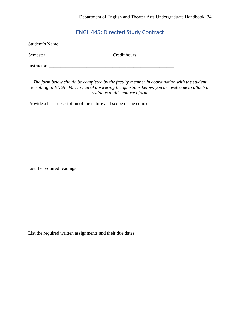# ENGL 445: Directed Study Contract

<span id="page-33-0"></span>

| Student's Name: |               |
|-----------------|---------------|
| Semester:       | Credit hours: |
| Instructor:     |               |

*The form below should be completed by the faculty member in coordination with the student enrolling in ENGL 445. In lieu of answering the questions below, you are welcome to attach a syllabus to this contract form*

Provide a brief description of the nature and scope of the course:

List the required readings:

List the required written assignments and their due dates: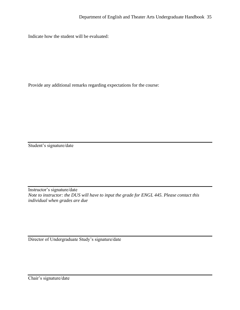Indicate how the student will be evaluated:

Provide any additional remarks regarding expectations for the course:

Student's signature/date

Instructor's signature/date *Note to instructor: the DUS will have to input the grade for ENGL 445. Please contact this individual when grades are due*

Director of Undergraduate Study's signature/date

Chair's signature/date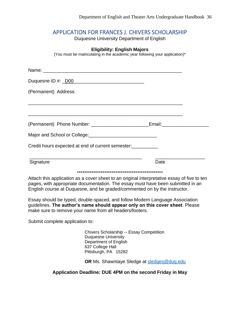## <span id="page-35-0"></span>APPLICATION FOR FRANCES J. CHIVERS SCHOLARSHIP

Duquesne University Department of English

#### **Eligibility: English Majors**

(You must be matriculating in the academic year following your application)\*

| Duquesne ID #: _D00<br><u> 1980 - Jan Samuel Barbara, margaret e populazion del control de la propia del control de la propia del control </u> |                   |  |
|------------------------------------------------------------------------------------------------------------------------------------------------|-------------------|--|
| (Permanent) Address:                                                                                                                           |                   |  |
|                                                                                                                                                |                   |  |
|                                                                                                                                                | Email:___________ |  |
|                                                                                                                                                |                   |  |
| Credit hours expected at end of current semester:                                                                                              |                   |  |
| Signature                                                                                                                                      | Date              |  |
|                                                                                                                                                |                   |  |

Attach this application as a cover sheet to an original interpretative essay of five to ten pages, with appropriate documentation. The essay must have been submitted in an English course at Duquesne, and be graded/commented on by the instructor.

Essay should be typed, double-spaced, and follow Modern Language Association guidelines. **The author's name should appear only on this cover sheet**. Please make sure to remove your name from all headers/footers.

Submit complete application to:

Chivers Scholarship -- Essay Competition Duquesne University Department of English 637 College Hall Pittsburgh, PA 15282

**OR** Ms. Shawntaye Sledge at [sledges@duq.edu](mailto:sledges@duq.edu)

**Application Deadline: DUE 4PM on the second Friday in May**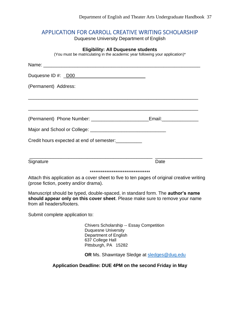## <span id="page-36-0"></span>APPLICATION FOR CARROLL CREATIVE WRITING SCHOLARSHIP

Duquesne University Department of English

| <b>Eligibility: All Duquesne students</b><br>(You must be matriculating in the academic year following your application)*                                                                          |      |
|----------------------------------------------------------------------------------------------------------------------------------------------------------------------------------------------------|------|
|                                                                                                                                                                                                    |      |
| Duquesne ID #: _ <u>D00</u>                                                                                                                                                                        |      |
| (Permanent) Address:                                                                                                                                                                               |      |
|                                                                                                                                                                                                    |      |
|                                                                                                                                                                                                    |      |
|                                                                                                                                                                                                    |      |
| Credit hours expected at end of semester:                                                                                                                                                          |      |
| Signature                                                                                                                                                                                          | Date |
| *********************************                                                                                                                                                                  |      |
| Attach this application as a cover sheet to five to ten pages of original creative writing<br>(prose fiction, poetry and/or drama).                                                                |      |
| Manuscript should be typed, double-spaced, in standard form. The <b>author's name</b><br>should appear only on this cover sheet. Please make sure to remove your name<br>from all headers/footers. |      |

Submit complete application to:

Chivers Scholarship -- Essay Competition Duquesne University Department of English 637 College Hall Pittsburgh, PA 15282

**OR** Ms. Shawntaye Sledge at [sledges@duq.edu](mailto:sledges@duq.edu)

**Application Deadline: DUE 4PM on the second Friday in May**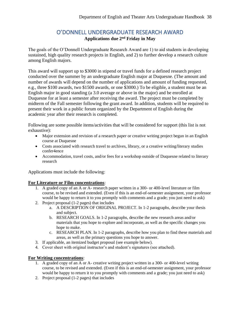## O'DONNELL UNDERGRADUATE RESEARCH AWARD **Applications due 2nd Friday in May**

The goals of the O'Donnell Undergraduate Research Award are 1) to aid students in developing sustained, high quality research projects in English, and 2) to further develop a research culture among English majors.

This award will support up to \$3000 in stipend or travel funds for a defined research project conducted over the summer by an undergraduate English major at Duquesne. (The amount and number of awards will depend on the number of applications and amount of funding requested, e.g., three \$100 awards, two \$1500 awards, or one \$3000.) To be eligible, a student must be an English major in good standing (a 3.0 average or above in the major) and be enrolled at Duquesne for at least a semester after receiving the award. The project must be completed by midterm of the Fall semester following the grant award. In addition, students will be required to present their work in a public forum organized by the Department of English during the academic year after their research is completed.

Following are some possible items/activities that will be considered for support (this list is not exhaustive):

- Major extension and revision of a research paper or creative writing project begun in an English course at Duquesne
- Costs associated with research travel to archives, library, or a creative writing/literary studies confer4ence
- Accommodation, travel costs, and/or fees for a workshop outside of Duquesne related to literary research

Applications must include the following:

#### **For Literature or Film concentrations**:

- 1. A graded copy of an A or A- research paper written in a 300- or 400-level literature or film course, to be revised and extended. (Even if this is an end-of-semester assignment, your professor would be happy to return it to you promptly with comments and a grade; you just need to ask)
- 2. Project proposal (1-2 pages) that includes
	- a. A DESCRIPTION OF ORIGINAL PROJECT. In 1-2 paragraphs, describe your thesis and subject.
	- b. RESEARCH GOALS. In 1-2 paragraphs, describe the new research areas and/or materials that you hope to explore and incorporate, as well as the specific changes you hope to make.
	- c. RESEARCH PLAN. In 1-2 paragraphs, describe how you plan to find these materials and areas, as well as the primary questions you hope to answer.
- 3. If applicable, an itemized budget proposal (see example below).
- 4. Cover sheet with original instructor's and student's signatures (see attached).

#### **For Writing concentrations**:

- 1. A graded copy of an A or A- creative writing project written in a 300- or 400-level writing course, to be revised and extended. (Even if this is an end-of-semester assignment, your professor would be happy to return it to you promptly with comments and a grade; you just need to ask)
- 2. Project proposal (1-2 pages) that includes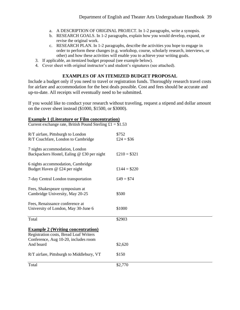- a. A DESCRIPTION OF ORIGINAL PROJECT. In 1-2 paragraphs, write a synopsis.
- b. RESEARCH GOALS. In 1-2 paragraphs, explain how you would develop, expand, or revise the original work.
- c. RESEARCH PLAN. In 1-2 paragraphs, describe the activities you hope to engage in order to perform these changes (e.g. workshop, course, scholarly research, interviews, or other) and how these activities will enable you to achieve your writing goals.
- 3. If applicable, an itemized budget proposal (see example below).
- 4. Cover sheet with original instructor's and student's signatures (see attached).

#### **EXAMPLES OF AN ITEMIZED BUDGET PROPOSAL**

Include a budget only if you need to travel or registration funds. Thoroughly research travel costs for airfare and accommodation for the best deals possible. Cost and fees should be accurate and up-to-date. All receipts will eventually need to be submitted.

If you would like to conduct your research without traveling, request a stipend and dollar amount on the cover sheet instead (\$1000, \$1500, or \$3000).

#### **Example 1 (Literature or Film concentration)**

| Current exchange rate, British Pound Sterling $\pounds 1 = $1.53$                                                                       |                      |
|-----------------------------------------------------------------------------------------------------------------------------------------|----------------------|
| R/T airfare, Pittsburgh to London<br>R/T Coachfare, London to Cambridge                                                                 | \$752<br>£24 = $$36$ |
| 7 nights accommodation, London<br>Backpackers Hostel, Ealing @ £30 per night                                                            | £210 = $$321$        |
| 6 nights accommodation, Cambridge<br>Budget Haven @ £24 per night                                                                       | £144 = $$220$        |
| 7-day Central London transportation                                                                                                     | £49 = $$74$          |
| Fees, Shakespeare symposium at<br>Cambridge University, May 20-25                                                                       | \$500                |
| Fees, Renaissance conference at<br>University of London, May 30-June 6                                                                  | \$1000               |
| Total                                                                                                                                   | \$2903               |
| <b>Example 2 (Writing concentration)</b><br>Registration costs, Bread Loaf Writers<br>Conference, Aug 10-20, includes room<br>And board | \$2,620              |
| R/T airfare, Pittsburgh to Middlebury, VT                                                                                               | \$150                |
| Total                                                                                                                                   | \$2,770              |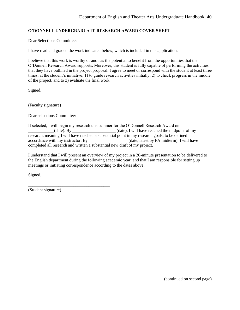#### **O'DONNELL UNDERGRADUATE RESEARCH AWARD COVER SHEET**

Dear Selections Committee:

I have read and graded the work indicated below, which is included in this application.

I believe that this work is worthy of and has the potential to benefit from the opportunities that the O'Donnell Research Award supports. Moreover, this student is fully capable of performing the activities that they have outlined in the project proposal. I agree to meet or correspond with the student at least three times, at the student's initiative: 1) to guide research activities initially, 2) to check progress in the middle of the project, and to 3) evaluate the final work.

Signed,

(Faculty signature)

Dear selections Committee:

\_\_\_\_\_\_\_\_\_\_\_\_\_\_\_\_\_\_\_\_\_\_\_\_\_\_\_\_\_\_\_\_\_\_\_\_\_\_

\_\_\_\_\_\_\_\_\_\_\_\_\_\_\_\_\_\_\_\_\_\_\_\_\_\_\_\_\_\_\_\_\_\_\_\_\_\_

If selected, I will begin my research this summer for the O'Donnell Research Award on  $_2$  (date). By \_\_\_\_\_\_\_\_\_\_\_\_\_\_\_\_\_\_\_\_\_(date), I will have reached the midpoint of my research, meaning I will have reached a substantial point in my research goals, to be defined in accordance with my instructor. By  $\qquad \qquad$  (date, latest by FA midterm), I will have completed all research and written a substantial new draft of my project.

I understand that I will present an overview of my project in a 20-minute presentation to be delivered to the English department during the following academic year, and that I am responsible for setting up meetings or initiating correspondence according to the dates above.

Signed,

(Student signature)